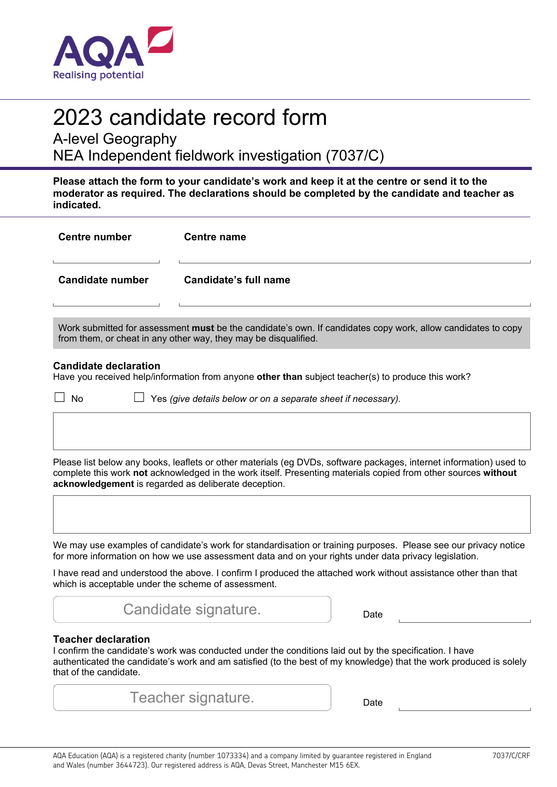

# 2023 candidate record form

A-level Geography

NEA Independent fieldwork investigation (7037/C)

**Please attach the form to your candidate's work and keep it at the centre or send it to the moderator as required. The declarations should be completed by the candidate and teacher as indicated.** 

| <b>Centre number</b>                                                                                                                                                                                                                                                                                                                                                                               | <b>Centre name</b>                                                                                 |  |  |  |  |  |  |
|----------------------------------------------------------------------------------------------------------------------------------------------------------------------------------------------------------------------------------------------------------------------------------------------------------------------------------------------------------------------------------------------------|----------------------------------------------------------------------------------------------------|--|--|--|--|--|--|
| <b>Candidate number</b>                                                                                                                                                                                                                                                                                                                                                                            | Candidate's full name                                                                              |  |  |  |  |  |  |
| Work submitted for assessment must be the candidate's own. If candidates copy work, allow candidates to copy<br>from them, or cheat in any other way, they may be disqualified.                                                                                                                                                                                                                    |                                                                                                    |  |  |  |  |  |  |
| <b>Candidate declaration</b>                                                                                                                                                                                                                                                                                                                                                                       | Have you received help/information from anyone other than subject teacher(s) to produce this work? |  |  |  |  |  |  |
| No                                                                                                                                                                                                                                                                                                                                                                                                 | Yes (give details below or on a separate sheet if necessary).                                      |  |  |  |  |  |  |
| Please list below any books, leaflets or other materials (eg DVDs, software packages, internet information) used to<br>complete this work not acknowledged in the work itself. Presenting materials copied from other sources without<br>acknowledgement is regarded as deliberate deception.                                                                                                      |                                                                                                    |  |  |  |  |  |  |
| We may use examples of candidate's work for standardisation or training purposes. Please see our privacy notice<br>for more information on how we use assessment data and on your rights under data privacy legislation.<br>I have read and understood the above. I confirm I produced the attached work without assistance other than that<br>which is acceptable under the scheme of assessment. |                                                                                                    |  |  |  |  |  |  |
|                                                                                                                                                                                                                                                                                                                                                                                                    | Candidate signature.<br>Date                                                                       |  |  |  |  |  |  |
| <b>Teacher declaration</b><br>I confirm the candidate's work was conducted under the conditions laid out by the specification. I have<br>authenticated the candidate's work and am satisfied (to the best of my knowledge) that the work produced is solely<br>that of the candidate.                                                                                                              |                                                                                                    |  |  |  |  |  |  |

| Teacher signature.<br>Date |
|----------------------------|
|----------------------------|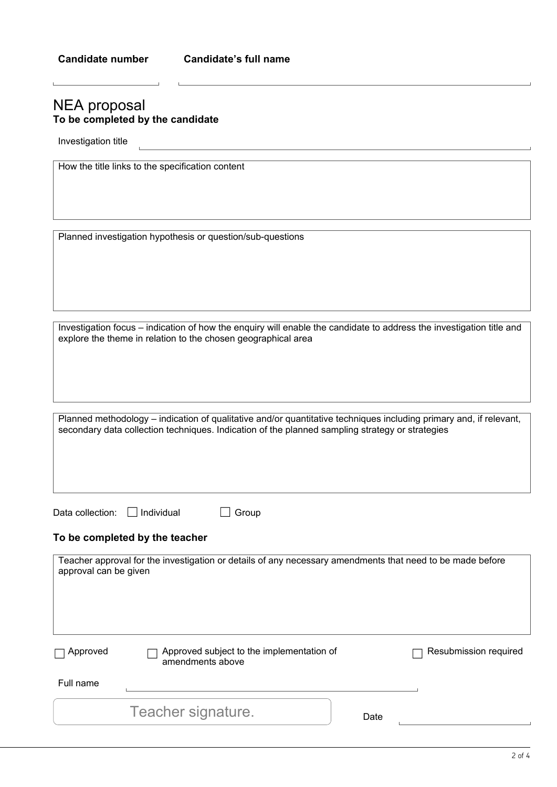and the contract of the contract of the contract of the contract of the contract of the contract of the contract of the contract of the contract of the contract of the contract of the contract of the contract of the contra

## NEA proposal **To be completed by the candidate**

Investigation title

| How the title links to the specification content |  |  |  |  |  |  |  |
|--------------------------------------------------|--|--|--|--|--|--|--|
|--------------------------------------------------|--|--|--|--|--|--|--|

Planned investigation hypothesis or question/sub-questions

Investigation focus – indication of how the enquiry will enable the candidate to address the investigation title and explore the theme in relation to the chosen geographical area

Planned methodology – indication of qualitative and/or quantitative techniques including primary and, if relevant, secondary data collection techniques. Indication of the planned sampling strategy or strategies

|  | Data collection: |  |
|--|------------------|--|
|  |                  |  |

□ Individual □ Group

## **To be completed by the teacher**

| approval can be given | Teacher approval for the investigation or details of any necessary amendments that need to be made before |      |                       |
|-----------------------|-----------------------------------------------------------------------------------------------------------|------|-----------------------|
| Approved              | Approved subject to the implementation of<br>amendments above                                             |      | Resubmission required |
| Full name             |                                                                                                           |      |                       |
|                       | Teacher signature.                                                                                        | Date |                       |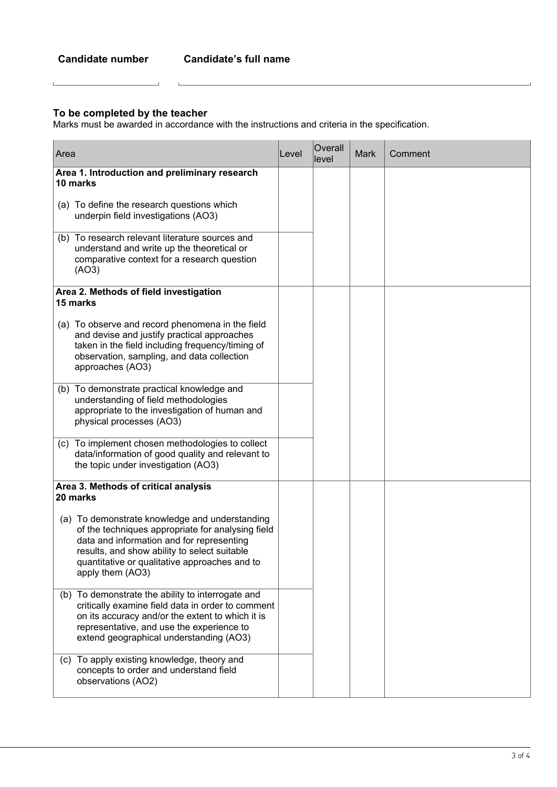$\Box$ 

## **To be completed by the teacher**

 $\mathbf{L}$ 

Marks must be awarded in accordance with the instructions and criteria in the specification.

| Area                                                                                                                                                                                                                                                                  | Level | Overall<br>llevel | <b>Mark</b> | Comment |
|-----------------------------------------------------------------------------------------------------------------------------------------------------------------------------------------------------------------------------------------------------------------------|-------|-------------------|-------------|---------|
| Area 1. Introduction and preliminary research<br>10 marks                                                                                                                                                                                                             |       |                   |             |         |
| (a) To define the research questions which<br>underpin field investigations (AO3)                                                                                                                                                                                     |       |                   |             |         |
| (b) To research relevant literature sources and<br>understand and write up the theoretical or<br>comparative context for a research question<br>(AO3)                                                                                                                 |       |                   |             |         |
| Area 2. Methods of field investigation<br>15 marks                                                                                                                                                                                                                    |       |                   |             |         |
| (a) To observe and record phenomena in the field<br>and devise and justify practical approaches<br>taken in the field including frequency/timing of<br>observation, sampling, and data collection<br>approaches (AO3)                                                 |       |                   |             |         |
| (b) To demonstrate practical knowledge and<br>understanding of field methodologies<br>appropriate to the investigation of human and<br>physical processes (AO3)                                                                                                       |       |                   |             |         |
| (c) To implement chosen methodologies to collect<br>data/information of good quality and relevant to<br>the topic under investigation (AO3)                                                                                                                           |       |                   |             |         |
| Area 3. Methods of critical analysis<br>20 marks                                                                                                                                                                                                                      |       |                   |             |         |
| (a) To demonstrate knowledge and understanding<br>of the techniques appropriate for analysing field<br>data and information and for representing<br>results, and show ability to select suitable<br>quantitative or qualitative approaches and to<br>apply them (AO3) |       |                   |             |         |
| (b) To demonstrate the ability to interrogate and<br>critically examine field data in order to comment<br>on its accuracy and/or the extent to which it is<br>representative, and use the experience to<br>extend geographical understanding (AO3)                    |       |                   |             |         |
| (c) To apply existing knowledge, theory and<br>concepts to order and understand field<br>observations (AO2)                                                                                                                                                           |       |                   |             |         |